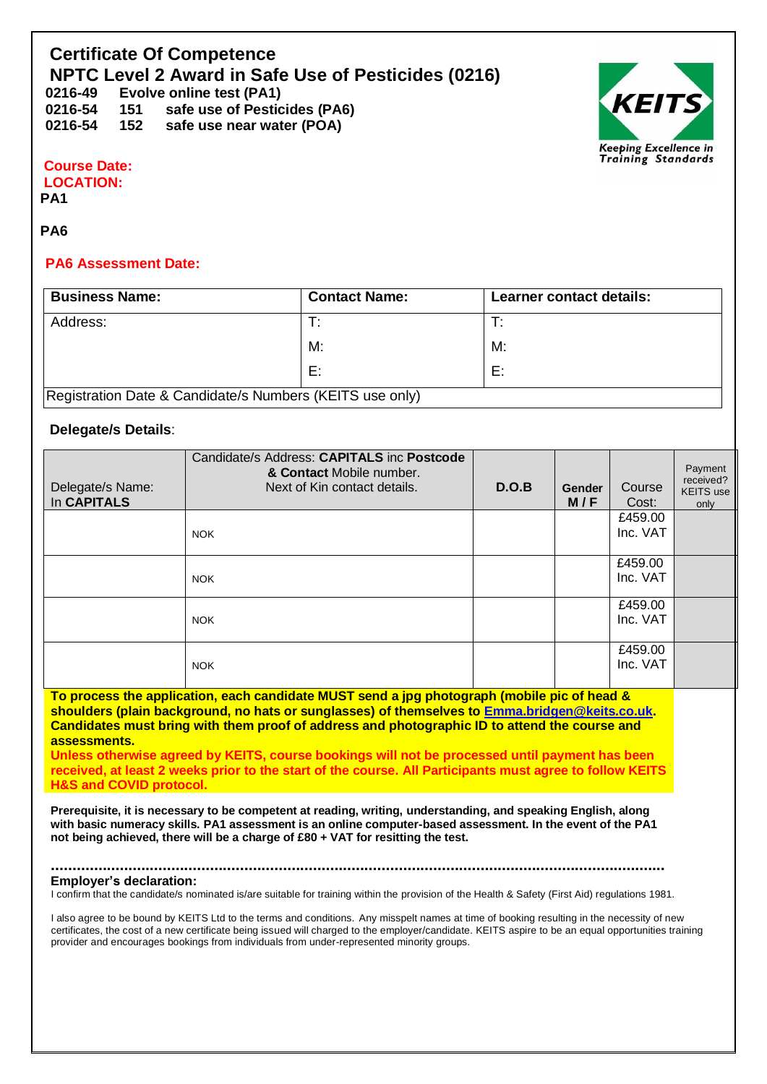# **Certificate Of Competence NPTC Level 2 Award in Safe Use of Pesticides (0216)**

**0216-49 Evolve online test (PA1) 0216-54 151 safe use of Pesticides (PA6) 0216-54 152 safe use near water (POA)**



## **Course Date: LOCATION:**

**PA1** 

### **PA6**

#### **PA6 Assessment Date:**

| <b>Business Name:</b>                                    | <b>Contact Name:</b> | Learner contact details: |  |  |
|----------------------------------------------------------|----------------------|--------------------------|--|--|
| Address:                                                 | т.                   |                          |  |  |
|                                                          | M:                   | M:                       |  |  |
|                                                          | E:                   | E:                       |  |  |
| Registration Date & Candidate/s Numbers (KEITS use only) |                      |                          |  |  |

### **Delegate/s Details**:

| Delegate/s Name:<br>In CAPITALS | Candidate/s Address: CAPITALS inc Postcode<br>& Contact Mobile number.<br>Next of Kin contact details. | D.O.B | <b>Gender</b><br>M/F | Course<br>Cost:     | Payment<br>received?<br>KEITS use<br>only |
|---------------------------------|--------------------------------------------------------------------------------------------------------|-------|----------------------|---------------------|-------------------------------------------|
|                                 | <b>NOK</b>                                                                                             |       |                      | £459.00<br>Inc. VAT |                                           |
|                                 | <b>NOK</b>                                                                                             |       |                      | £459.00<br>Inc. VAT |                                           |
|                                 | <b>NOK</b>                                                                                             |       |                      | £459.00<br>Inc. VAT |                                           |
|                                 | <b>NOK</b>                                                                                             |       |                      | £459.00<br>Inc. VAT |                                           |

**To process the application, each candidate MUST send a jpg photograph (mobile pic of head & shoulders (plain background, no hats or sunglasses) of themselves to [Emma.bridgen@keits.co.uk.](mailto:Emma.bridgen@keits.co.uk) Candidates must bring with them proof of address and photographic ID to attend the course and assessments.**

**Unless otherwise agreed by KEITS, course bookings will not be processed until payment has been received, at least 2 weeks prior to the start of the course. All Participants must agree to follow KEITS H&S and COVID protocol.**

**Prerequisite, it is necessary to be competent at reading, writing, understanding, and speaking English, along with basic numeracy skills. PA1 assessment is an online computer-based assessment. In the event of the PA1 not being achieved, there will be a charge of £80 + VAT for resitting the test.** 

#### **............................................................................................................................................... Employer's declaration:**

I confirm that the candidate/s nominated is/are suitable for training within the provision of the Health & Safety (First Aid) regulations 1981.

I also agree to be bound by KEITS Ltd to the terms and conditions. Any misspelt names at time of booking resulting in the necessity of new certificates, the cost of a new certificate being issued will charged to the employer/candidate. KEITS aspire to be an equal opportunities training provider and encourages bookings from individuals from under-represented minority groups.